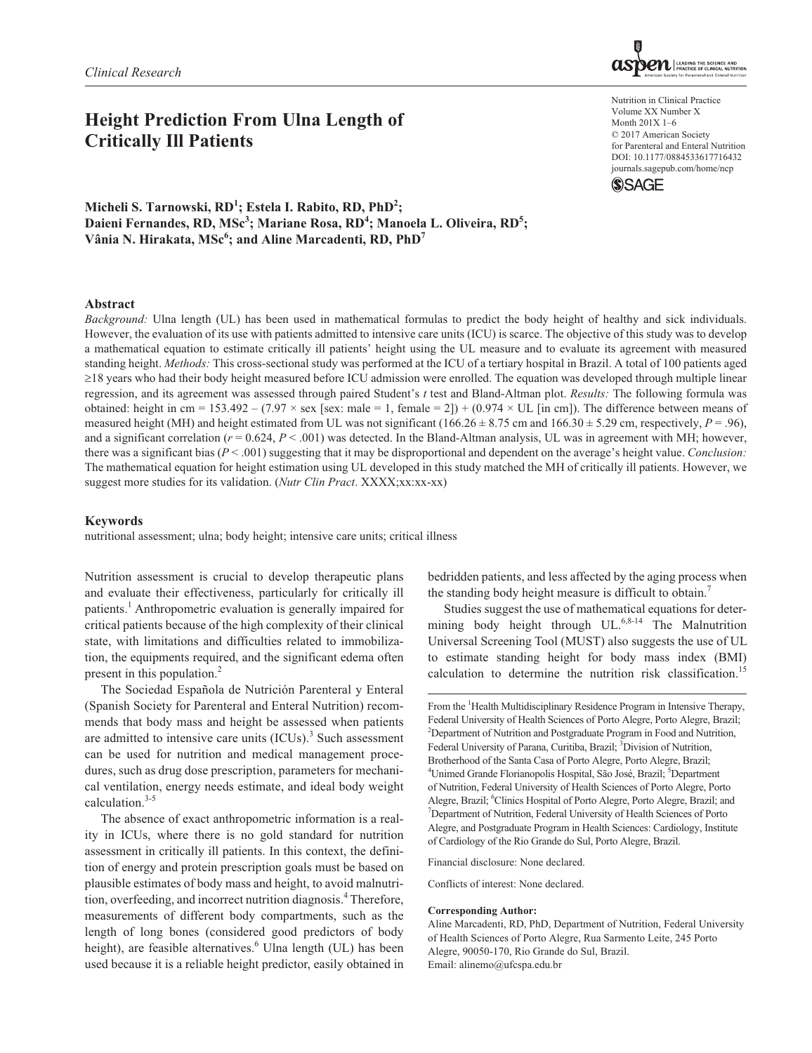# **Height Prediction From Ulna Length of Critically Ill Patients**

**Micheli S. Tarnowski, RD1 ; Estela I. Rabito, RD, PhD2 ;**  Daieni Fernandes, RD, MSc<sup>3</sup>; Mariane Rosa, RD<sup>4</sup>; Manoela L. Oliveira, RD<sup>5</sup>; **Vânia N. Hirakata, MSc<sup>6</sup> ; and Aline Marcadenti, RD, PhD7**

#### **Abstract**

*Background:* Ulna length (UL) has been used in mathematical formulas to predict the body height of healthy and sick individuals. However, the evaluation of its use with patients admitted to intensive care units (ICU) is scarce. The objective of this study was to develop a mathematical equation to estimate critically ill patients' height using the UL measure and to evaluate its agreement with measured standing height. *Methods:* This cross-sectional study was performed at the ICU of a tertiary hospital in Brazil. A total of 100 patients aged ≥18 years who had their body height measured before ICU admission were enrolled. The equation was developed through multiple linear regression, and its agreement was assessed through paired Student's *t* test and Bland-Altman plot. *Results:* The following formula was obtained: height in cm = 153.492 – (7.97 × sex [sex: male = 1, female = 2]) + (0.974 × UL [in cm]). The difference between means of measured height (MH) and height estimated from UL was not significant  $(166.26 \pm 8.75 \text{ cm}$  and  $166.30 \pm 5.29 \text{ cm}$ , respectively,  $P = .96$ ), and a significant correlation  $(r = 0.624, P < .001)$  was detected. In the Bland-Altman analysis, UL was in agreement with MH; however, there was a significant bias (*P* < .001) suggesting that it may be disproportional and dependent on the average's height value. *Conclusion:* The mathematical equation for height estimation using UL developed in this study matched the MH of critically ill patients. However, we suggest more studies for its validation. (*Nutr Clin Pract*. XXXX;xx:xx-xx)

#### **Keywords**

nutritional assessment; ulna; body height; intensive care units; critical illness

Nutrition assessment is crucial to develop therapeutic plans and evaluate their effectiveness, particularly for critically ill patients.<sup>1</sup> Anthropometric evaluation is generally impaired for critical patients because of the high complexity of their clinical state, with limitations and difficulties related to immobilization, the equipments required, and the significant edema often present in this population.<sup>2</sup>

The Sociedad Española de Nutrición Parenteral y Enteral (Spanish Society for Parenteral and Enteral Nutrition) recommends that body mass and height be assessed when patients are admitted to intensive care units  $(ICUs)<sup>3</sup>$  Such assessment can be used for nutrition and medical management procedures, such as drug dose prescription, parameters for mechanical ventilation, energy needs estimate, and ideal body weight calculation.<sup>3-5</sup>

The absence of exact anthropometric information is a reality in ICUs, where there is no gold standard for nutrition assessment in critically ill patients. In this context, the definition of energy and protein prescription goals must be based on plausible estimates of body mass and height, to avoid malnutrition, overfeeding, and incorrect nutrition diagnosis.<sup>4</sup> Therefore, measurements of different body compartments, such as the length of long bones (considered good predictors of body height), are feasible alternatives.<sup>6</sup> Ulna length (UL) has been used because it is a reliable height predictor, easily obtained in

bedridden patients, and less affected by the aging process when the standing body height measure is difficult to obtain.<sup>7</sup>

Studies suggest the use of mathematical equations for determining body height through  $UL<sub>6,8-14</sub>$  The Malnutrition Universal Screening Tool (MUST) also suggests the use of UL to estimate standing height for body mass index (BMI) calculation to determine the nutrition risk classification.<sup>15</sup>

From the <sup>1</sup>Health Multidisciplinary Residence Program in Intensive Therapy, Federal University of Health Sciences of Porto Alegre, Porto Alegre, Brazil; <sup>2</sup>Department of Nutrition and Postgraduate Program in Food and Nutrition, Federal University of Parana, Curitiba, Brazil; <sup>3</sup>Division of Nutrition, Brotherhood of the Santa Casa of Porto Alegre, Porto Alegre, Brazil; <sup>4</sup> Unimed Grande Florianopolis Hospital, São José, Brazil; <sup>5</sup> Department of Nutrition, Federal University of Health Sciences of Porto Alegre, Porto Alegre, Brazil; <sup>6</sup>Clinics Hospital of Porto Alegre, Porto Alegre, Brazil; and <sup>7</sup>Department of Mutrition, Esdaval University of Hostle Sciences of Borto Department of Nutrition, Federal University of Health Sciences of Porto Alegre, and Postgraduate Program in Health Sciences: Cardiology, Institute of Cardiology of the Rio Grande do Sul, Porto Alegre, Brazil.

Financial disclosure: None declared.

Conflicts of interest: None declared.

#### **Corresponding Author:**

Aline Marcadenti, RD, PhD, Department of Nutrition, Federal University of Health Sciences of Porto Alegre, Rua Sarmento Leite, 245 Porto Alegre, 90050-170, Rio Grande do Sul, Brazil. Email: [alinemo@ufcspa.edu.br](mailto:alinemo@ufcspa.edu.br)



https://doi.org/10.1177/0884533617716432 DOI: 10.1177/0884533617716432 Nutrition in Clinical Practice Volume XX Number X Month 201X 1–6 © 2017 American Society for Parenteral and Enteral Nutrition [journals.sagepub.com/home/ncp](https://journals.sagepub.com/home/ncp)

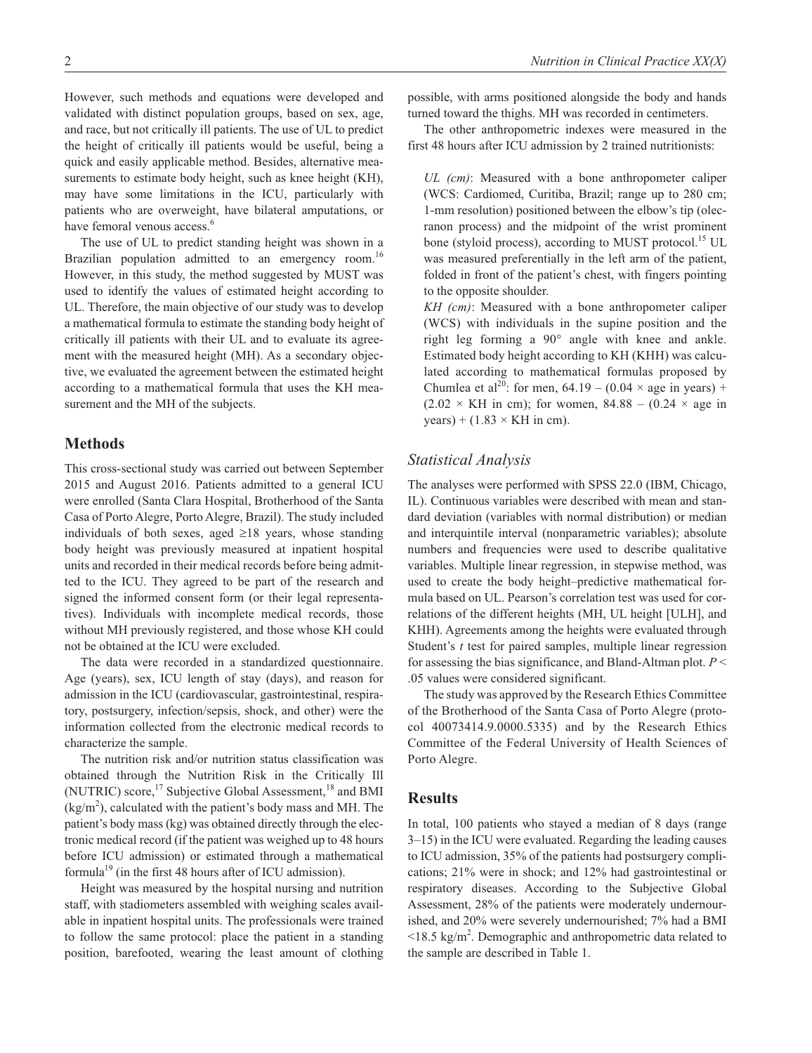However, such methods and equations were developed and validated with distinct population groups, based on sex, age, and race, but not critically ill patients. The use of UL to predict the height of critically ill patients would be useful, being a quick and easily applicable method. Besides, alternative measurements to estimate body height, such as knee height (KH), may have some limitations in the ICU, particularly with patients who are overweight, have bilateral amputations, or have femoral venous access.<sup>6</sup>

The use of UL to predict standing height was shown in a Brazilian population admitted to an emergency room.<sup>16</sup> However, in this study, the method suggested by MUST was used to identify the values of estimated height according to UL. Therefore, the main objective of our study was to develop a mathematical formula to estimate the standing body height of critically ill patients with their UL and to evaluate its agreement with the measured height (MH). As a secondary objective, we evaluated the agreement between the estimated height according to a mathematical formula that uses the KH measurement and the MH of the subjects.

## **Methods**

This cross-sectional study was carried out between September 2015 and August 2016. Patients admitted to a general ICU were enrolled (Santa Clara Hospital, Brotherhood of the Santa Casa of Porto Alegre, Porto Alegre, Brazil). The study included individuals of both sexes, aged  $\geq 18$  years, whose standing body height was previously measured at inpatient hospital units and recorded in their medical records before being admitted to the ICU. They agreed to be part of the research and signed the informed consent form (or their legal representatives). Individuals with incomplete medical records, those without MH previously registered, and those whose KH could not be obtained at the ICU were excluded.

The data were recorded in a standardized questionnaire. Age (years), sex, ICU length of stay (days), and reason for admission in the ICU (cardiovascular, gastrointestinal, respiratory, postsurgery, infection/sepsis, shock, and other) were the information collected from the electronic medical records to characterize the sample.

The nutrition risk and/or nutrition status classification was obtained through the Nutrition Risk in the Critically Ill (NUTRIC) score,<sup>17</sup> Subjective Global Assessment,<sup>18</sup> and BMI  $(kg/m<sup>2</sup>)$ , calculated with the patient's body mass and MH. The patient's body mass (kg) was obtained directly through the electronic medical record (if the patient was weighed up to 48 hours before ICU admission) or estimated through a mathematical formula<sup>19</sup> (in the first 48 hours after of ICU admission).

Height was measured by the hospital nursing and nutrition staff, with stadiometers assembled with weighing scales available in inpatient hospital units. The professionals were trained to follow the same protocol: place the patient in a standing position, barefooted, wearing the least amount of clothing possible, with arms positioned alongside the body and hands turned toward the thighs. MH was recorded in centimeters.

The other anthropometric indexes were measured in the first 48 hours after ICU admission by 2 trained nutritionists:

*UL (cm)*: Measured with a bone anthropometer caliper (WCS: Cardiomed, Curitiba, Brazil; range up to 280 cm; 1-mm resolution) positioned between the elbow's tip (olecranon process) and the midpoint of the wrist prominent bone (styloid process), according to MUST protocol.<sup>15</sup> UL was measured preferentially in the left arm of the patient, folded in front of the patient's chest, with fingers pointing to the opposite shoulder.

*KH (cm)*: Measured with a bone anthropometer caliper (WCS) with individuals in the supine position and the right leg forming a 90° angle with knee and ankle. Estimated body height according to KH (KHH) was calculated according to mathematical formulas proposed by Chumlea et al<sup>20</sup>: for men,  $64.19 - (0.04 \times \text{age in years}) +$  $(2.02 \times KH$  in cm); for women,  $84.88 - (0.24 \times age)$  in years) + (1.83  $\times$  KH in cm).

## *Statistical Analysis*

The analyses were performed with SPSS 22.0 (IBM, Chicago, IL). Continuous variables were described with mean and standard deviation (variables with normal distribution) or median and interquintile interval (nonparametric variables); absolute numbers and frequencies were used to describe qualitative variables. Multiple linear regression, in stepwise method, was used to create the body height–predictive mathematical formula based on UL. Pearson's correlation test was used for correlations of the different heights (MH, UL height [ULH], and KHH). Agreements among the heights were evaluated through Student's *t* test for paired samples, multiple linear regression for assessing the bias significance, and Bland-Altman plot. *P* < .05 values were considered significant.

The study was approved by the Research Ethics Committee of the Brotherhood of the Santa Casa of Porto Alegre (protocol 40073414.9.0000.5335) and by the Research Ethics Committee of the Federal University of Health Sciences of Porto Alegre.

### **Results**

In total, 100 patients who stayed a median of 8 days (range 3–15) in the ICU were evaluated. Regarding the leading causes to ICU admission, 35% of the patients had postsurgery complications; 21% were in shock; and 12% had gastrointestinal or respiratory diseases. According to the Subjective Global Assessment, 28% of the patients were moderately undernourished, and 20% were severely undernourished; 7% had a BMI  $\leq$ 18.5 kg/m<sup>2</sup>. Demographic and anthropometric data related to the sample are described in Table 1.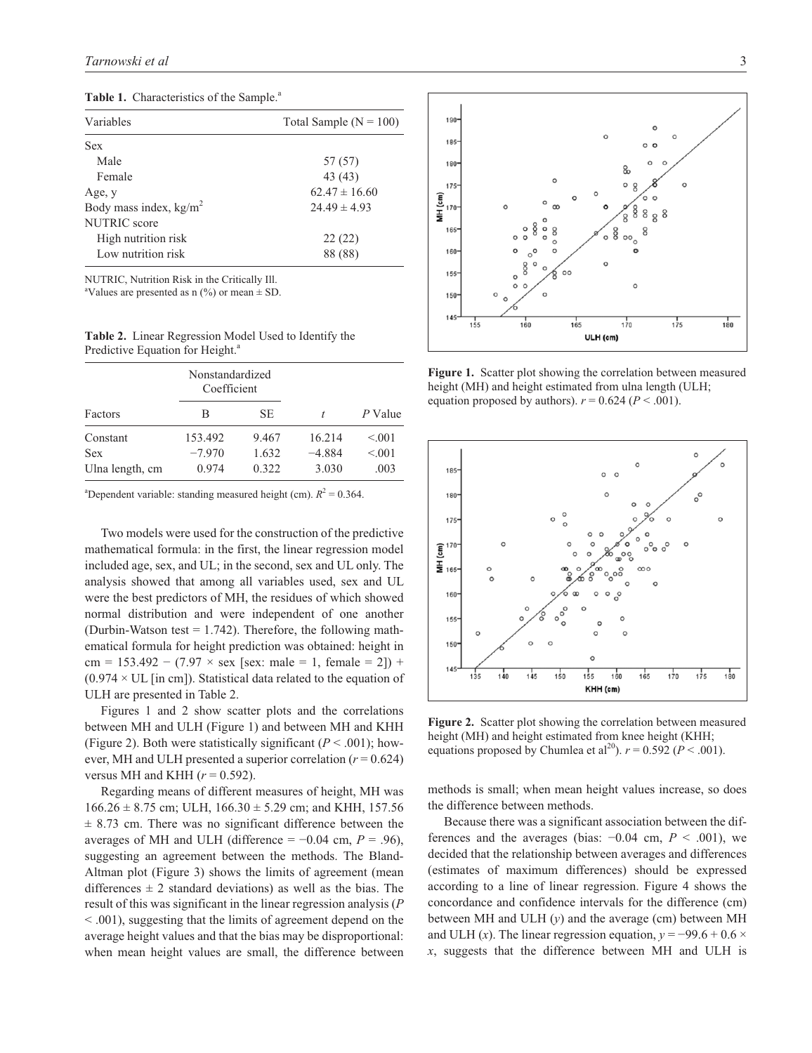| Table 1. Characteristics of the Sample. <sup>a</sup> |  |
|------------------------------------------------------|--|
|                                                      |  |

| Total Sample ( $N = 100$ ) |  |  |
|----------------------------|--|--|
|                            |  |  |
|                            |  |  |
| 57 (57)                    |  |  |
| 43(43)                     |  |  |
| $62.47 \pm 16.60$          |  |  |
| $24.49 \pm 4.93$           |  |  |
|                            |  |  |
| 22(22)                     |  |  |
| 88 (88)                    |  |  |
|                            |  |  |

NUTRIC, Nutrition Risk in the Critically Ill.

<sup>a</sup>Values are presented as n  $(\%)$  or mean  $\pm$  SD.

**Table 2.** Linear Regression Model Used to Identify the Predictive Equation for Height.<sup>a</sup>

|                 | Nonstandardized<br>Coefficient |       |          |         |
|-----------------|--------------------------------|-------|----------|---------|
| Factors         | В                              | SE.   |          | P Value |
| Constant        | 153.492                        | 9.467 | 16.214   | < 0.001 |
| <b>Sex</b>      | $-7.970$                       | 1.632 | $-4.884$ | < 0.01  |
| Ulna length, cm | 0.974                          | 0.322 | 3.030    | .003    |

<sup>a</sup>Dependent variable: standing measured height (cm).  $R^2 = 0.364$ .

Two models were used for the construction of the predictive mathematical formula: in the first, the linear regression model included age, sex, and UL; in the second, sex and UL only. The analysis showed that among all variables used, sex and UL were the best predictors of MH, the residues of which showed normal distribution and were independent of one another (Durbin-Watson test  $= 1.742$ ). Therefore, the following mathematical formula for height prediction was obtained: height in cm = 153.492 –  $(7.97 \times$  sex [sex: male = 1, female = 2]) +  $(0.974 \times UL$  [in cm]). Statistical data related to the equation of ULH are presented in Table 2.

Figures 1 and 2 show scatter plots and the correlations between MH and ULH (Figure 1) and between MH and KHH (Figure 2). Both were statistically significant  $(P < .001)$ ; however, MH and ULH presented a superior correlation (*r* = 0.624) versus MH and KHH (*r* = 0.592).

Regarding means of different measures of height, MH was  $166.26 \pm 8.75$  cm; ULH,  $166.30 \pm 5.29$  cm; and KHH, 157.56  $\pm$  8.73 cm. There was no significant difference between the averages of MH and ULH (difference =  $-0.04$  cm,  $P = .96$ ), suggesting an agreement between the methods. The Bland-Altman plot (Figure 3) shows the limits of agreement (mean differences  $\pm$  2 standard deviations) as well as the bias. The result of this was significant in the linear regression analysis (*P* < .001), suggesting that the limits of agreement depend on the average height values and that the bias may be disproportional: when mean height values are small, the difference between



**Figure 1.** Scatter plot showing the correlation between measured height (MH) and height estimated from ulna length (ULH; equation proposed by authors).  $r = 0.624$  ( $P < .001$ ).



**Figure 2.** Scatter plot showing the correlation between measured height (MH) and height estimated from knee height (KHH; equations proposed by Chumlea et al<sup>20</sup>).  $r = 0.592$  ( $P < .001$ ).

methods is small; when mean height values increase, so does the difference between methods.

Because there was a significant association between the differences and the averages (bias:  $-0.04$  cm,  $P < .001$ ), we decided that the relationship between averages and differences (estimates of maximum differences) should be expressed according to a line of linear regression. Figure 4 shows the concordance and confidence intervals for the difference (cm) between MH and ULH (*y*) and the average (cm) between MH and ULH  $(x)$ . The linear regression equation,  $y = -99.6 + 0.6 \times$ *x*, suggests that the difference between MH and ULH is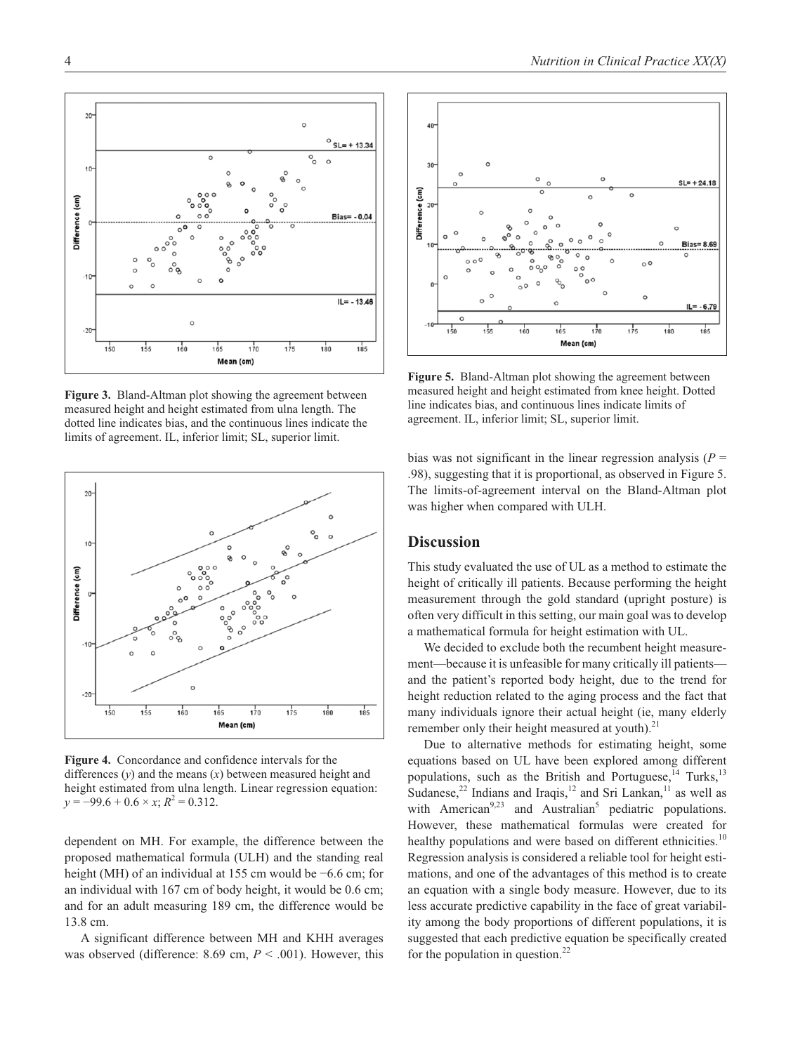

**Figure 3.** Bland-Altman plot showing the agreement between measured height and height estimated from ulna length. The dotted line indicates bias, and the continuous lines indicate the limits of agreement. IL, inferior limit; SL, superior limit.



**Figure 4.** Concordance and confidence intervals for the differences (*y*) and the means (*x*) between measured height and height estimated from ulna length. Linear regression equation:  $y = -99.6 + 0.6 \times x$ ;  $R^2 = 0.312$ .

dependent on MH. For example, the difference between the proposed mathematical formula (ULH) and the standing real height (MH) of an individual at 155 cm would be −6.6 cm; for an individual with 167 cm of body height, it would be 0.6 cm; and for an adult measuring 189 cm, the difference would be 13.8 cm.

A significant difference between MH and KHH averages was observed (difference:  $8.69$  cm,  $P < .001$ ). However, this



**Figure 5.** Bland-Altman plot showing the agreement between measured height and height estimated from knee height. Dotted line indicates bias, and continuous lines indicate limits of agreement. IL, inferior limit; SL, superior limit.

bias was not significant in the linear regression analysis  $(P =$ .98), suggesting that it is proportional, as observed in Figure 5. The limits-of-agreement interval on the Bland-Altman plot was higher when compared with ULH.

# **Discussion**

This study evaluated the use of UL as a method to estimate the height of critically ill patients. Because performing the height measurement through the gold standard (upright posture) is often very difficult in this setting, our main goal was to develop a mathematical formula for height estimation with UL.

We decided to exclude both the recumbent height measurement—because it is unfeasible for many critically ill patients and the patient's reported body height, due to the trend for height reduction related to the aging process and the fact that many individuals ignore their actual height (ie, many elderly remember only their height measured at youth). $^{21}$ 

Due to alternative methods for estimating height, some equations based on UL have been explored among different populations, such as the British and Portuguese, $14$  Turks, $13$ Sudanese, $^{22}$  Indians and Iraqis, $^{12}$  and Sri Lankan, $^{11}$  as well as with American<sup>9,23</sup> and Australian<sup>5</sup> pediatric populations. However, these mathematical formulas were created for healthy populations and were based on different ethnicities.<sup>10</sup> Regression analysis is considered a reliable tool for height estimations, and one of the advantages of this method is to create an equation with a single body measure. However, due to its less accurate predictive capability in the face of great variability among the body proportions of different populations, it is suggested that each predictive equation be specifically created for the population in question. $^{22}$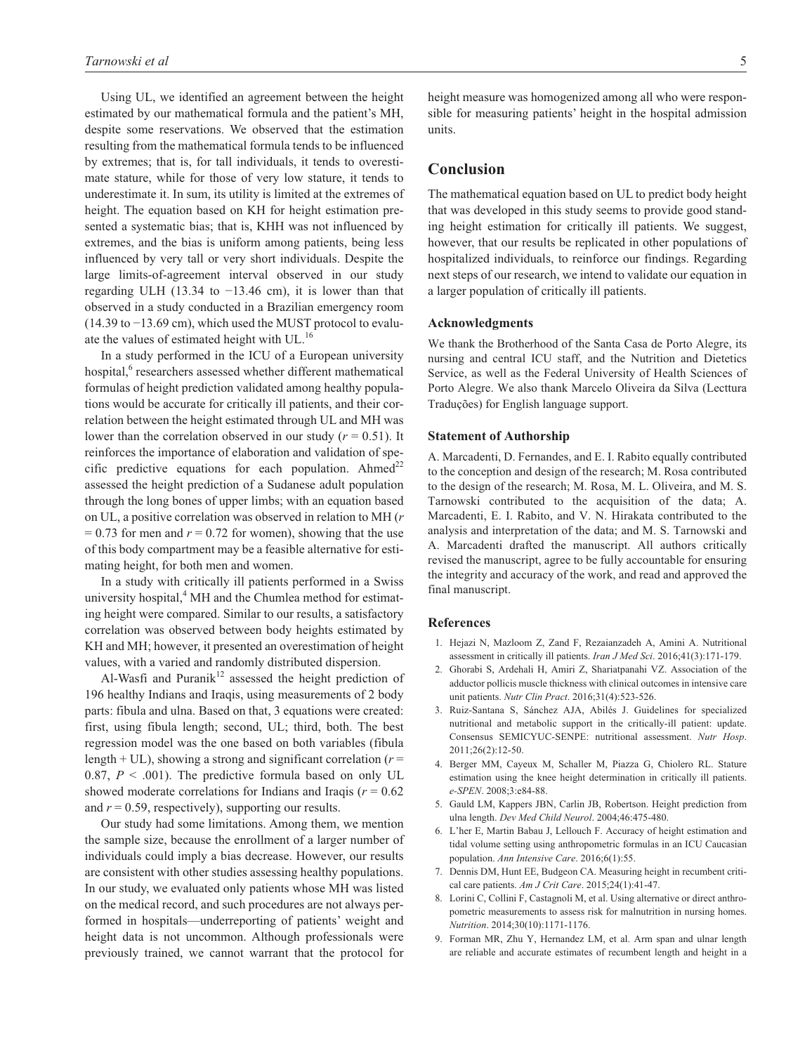Using UL, we identified an agreement between the height estimated by our mathematical formula and the patient's MH, despite some reservations. We observed that the estimation resulting from the mathematical formula tends to be influenced by extremes; that is, for tall individuals, it tends to overestimate stature, while for those of very low stature, it tends to underestimate it. In sum, its utility is limited at the extremes of height. The equation based on KH for height estimation presented a systematic bias; that is, KHH was not influenced by extremes, and the bias is uniform among patients, being less influenced by very tall or very short individuals. Despite the large limits-of-agreement interval observed in our study regarding ULH (13.34 to −13.46 cm), it is lower than that observed in a study conducted in a Brazilian emergency room (14.39 to −13.69 cm), which used the MUST protocol to evaluate the values of estimated height with UL.<sup>16</sup>

In a study performed in the ICU of a European university hospital,<sup>6</sup> researchers assessed whether different mathematical formulas of height prediction validated among healthy populations would be accurate for critically ill patients, and their correlation between the height estimated through UL and MH was lower than the correlation observed in our study  $(r = 0.51)$ . It reinforces the importance of elaboration and validation of specific predictive equations for each population. Ahmed<sup>22</sup> assessed the height prediction of a Sudanese adult population through the long bones of upper limbs; with an equation based on UL, a positive correlation was observed in relation to MH (*r*  $= 0.73$  for men and  $r = 0.72$  for women), showing that the use of this body compartment may be a feasible alternative for estimating height, for both men and women.

In a study with critically ill patients performed in a Swiss university hospital,<sup>4</sup> MH and the Chumlea method for estimating height were compared. Similar to our results, a satisfactory correlation was observed between body heights estimated by KH and MH; however, it presented an overestimation of height values, with a varied and randomly distributed dispersion.

Al-Wasfi and Puranik<sup>12</sup> assessed the height prediction of 196 healthy Indians and Iraqis, using measurements of 2 body parts: fibula and ulna. Based on that, 3 equations were created: first, using fibula length; second, UL; third, both. The best regression model was the one based on both variables (fibula length + UL), showing a strong and significant correlation (*r* = 0.87,  $P < .001$ ). The predictive formula based on only UL showed moderate correlations for Indians and Iraqis ( $r = 0.62$ ) and  $r = 0.59$ , respectively), supporting our results.

Our study had some limitations. Among them, we mention the sample size, because the enrollment of a larger number of individuals could imply a bias decrease. However, our results are consistent with other studies assessing healthy populations. In our study, we evaluated only patients whose MH was listed on the medical record, and such procedures are not always performed in hospitals—underreporting of patients' weight and height data is not uncommon. Although professionals were previously trained, we cannot warrant that the protocol for

height measure was homogenized among all who were responsible for measuring patients' height in the hospital admission units.

### **Conclusion**

The mathematical equation based on UL to predict body height that was developed in this study seems to provide good standing height estimation for critically ill patients. We suggest, however, that our results be replicated in other populations of hospitalized individuals, to reinforce our findings. Regarding next steps of our research, we intend to validate our equation in a larger population of critically ill patients.

### **Acknowledgments**

We thank the Brotherhood of the Santa Casa de Porto Alegre, its nursing and central ICU staff, and the Nutrition and Dietetics Service, as well as the Federal University of Health Sciences of Porto Alegre. We also thank Marcelo Oliveira da Silva (Lecttura Traduções) for English language support.

#### **Statement of Authorship**

A. Marcadenti, D. Fernandes, and E. I. Rabito equally contributed to the conception and design of the research; M. Rosa contributed to the design of the research; M. Rosa, M. L. Oliveira, and M. S. Tarnowski contributed to the acquisition of the data; A. Marcadenti, E. I. Rabito, and V. N. Hirakata contributed to the analysis and interpretation of the data; and M. S. Tarnowski and A. Marcadenti drafted the manuscript. All authors critically revised the manuscript, agree to be fully accountable for ensuring the integrity and accuracy of the work, and read and approved the final manuscript.

#### **References**

- 1. Hejazi N, Mazloom Z, Zand F, Rezaianzadeh A, Amini A. Nutritional assessment in critically ill patients. *Iran J Med Sci*. 2016;41(3):171-179.
- 2. Ghorabi S, Ardehali H, Amiri Z, Shariatpanahi VZ. Association of the adductor pollicis muscle thickness with clinical outcomes in intensive care unit patients. *Nutr Clin Pract*. 2016;31(4):523-526.
- 3. Ruiz-Santana S, Sánchez AJA, Abilés J. Guidelines for specialized nutritional and metabolic support in the critically-ill patient: update. Consensus SEMICYUC-SENPE: nutritional assessment. *Nutr Hosp*. 2011;26(2):12-50.
- 4. Berger MM, Cayeux M, Schaller M, Piazza G, Chiolero RL. Stature estimation using the knee height determination in critically ill patients. *e-SPEN*. 2008;3:e84-88.
- 5. Gauld LM, Kappers JBN, Carlin JB, Robertson. Height prediction from ulna length. *Dev Med Child Neurol*. 2004;46:475-480.
- 6. L'her E, Martin Babau J, Lellouch F. Accuracy of height estimation and tidal volume setting using anthropometric formulas in an ICU Caucasian population. *Ann Intensive Care*. 2016;6(1):55.
- 7. Dennis DM, Hunt EE, Budgeon CA. Measuring height in recumbent critical care patients. *Am J Crit Care*. 2015;24(1):41-47.
- 8. Lorini C, Collini F, Castagnoli M, et al. Using alternative or direct anthropometric measurements to assess risk for malnutrition in nursing homes. *Nutrition*. 2014;30(10):1171-1176.
- 9. Forman MR, Zhu Y, Hernandez LM, et al. Arm span and ulnar length are reliable and accurate estimates of recumbent length and height in a